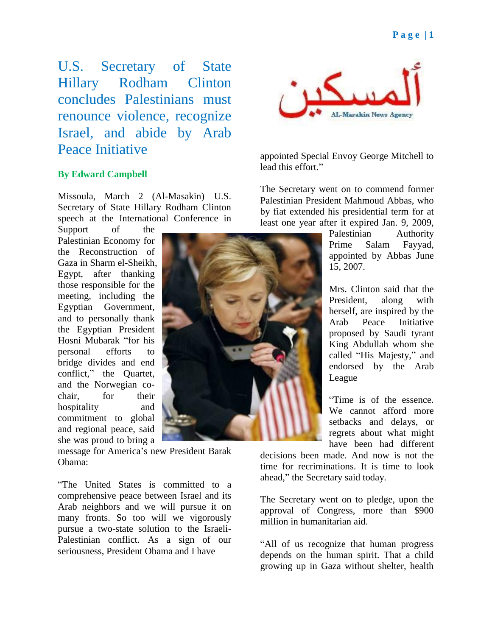U.S. Secretary of State Hillary Rodham Clinton concludes Palestinians must renounce violence, recognize Israel, and abide by Arab Peace Initiative

## **By Edward Campbell**

Missoula, March 2 (Al-Masakin)—U.S. Secretary of State Hillary Rodham Clinton speech at the International Conference in

Support of the Palestinian Economy for the Reconstruction of Gaza in Sharm el-Sheikh, Egypt, after thanking those responsible for the meeting, including the Egyptian Government, and to personally thank the Egyptian President Hosni Mubarak "for his personal efforts to bridge divides and end conflict," the Quartet, and the Norwegian cochair, for their hospitality and commitment to global and regional peace, said she was proud to bring a

message for America's new President Barak Obama:

―The United States is committed to a comprehensive peace between Israel and its Arab neighbors and we will pursue it on many fronts. So too will we vigorously pursue a two-state solution to the Israeli-Palestinian conflict. As a sign of our seriousness, President Obama and I have



appointed Special Envoy George Mitchell to lead this effort."

The Secretary went on to commend former Palestinian President Mahmoud Abbas, who by fiat extended his presidential term for at least one year after it expired Jan. 9, 2009,

> Palestinian Authority Prime Salam Fayyad, appointed by Abbas June 15, 2007.

Mrs. Clinton said that the President, along with herself, are inspired by the Arab Peace Initiative proposed by Saudi tyrant King Abdullah whom she called "His Majesty," and endorsed by the Arab League

―Time is of the essence. We cannot afford more setbacks and delays, or regrets about what might have been had different

decisions been made. And now is not the time for recriminations. It is time to look ahead," the Secretary said today.

The Secretary went on to pledge, upon the approval of Congress, more than \$900 million in humanitarian aid.

―All of us recognize that human progress depends on the human spirit. That a child growing up in Gaza without shelter, health

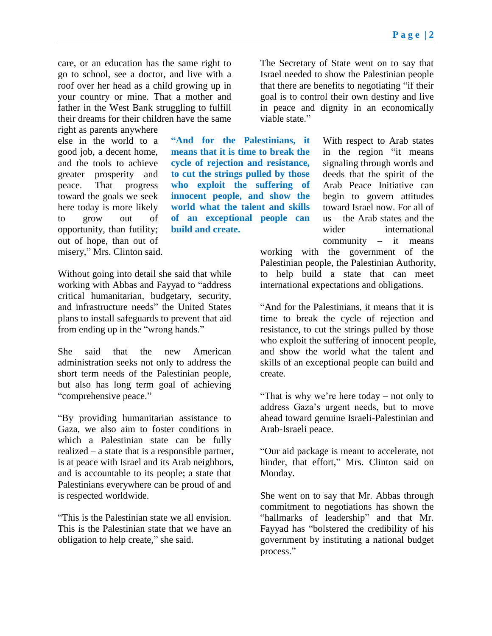care, or an education has the same right to go to school, see a doctor, and live with a roof over her head as a child growing up in your country or mine. That a mother and father in the West Bank struggling to fulfill their dreams for their children have the same

right as parents anywhere else in the world to a good job, a decent home, and the tools to achieve greater prosperity and peace. That progress toward the goals we seek here today is more likely to grow out of opportunity, than futility; out of hope, than out of misery," Mrs. Clinton said.

**"And for the Palestinians, it means that it is time to break the cycle of rejection and resistance, to cut the strings pulled by those who exploit the suffering of innocent people, and show the world what the talent and skills of an exceptional people can build and create.**

Without going into detail she said that while working with Abbas and Fayyad to "address" critical humanitarian, budgetary, security, and infrastructure needs" the United States plans to install safeguards to prevent that aid from ending up in the "wrong hands."

She said that the new American administration seeks not only to address the short term needs of the Palestinian people, but also has long term goal of achieving "comprehensive peace."

―By providing humanitarian assistance to Gaza, we also aim to foster conditions in which a Palestinian state can be fully realized – a state that is a responsible partner, is at peace with Israel and its Arab neighbors, and is accountable to its people; a state that Palestinians everywhere can be proud of and is respected worldwide.

―This is the Palestinian state we all envision. This is the Palestinian state that we have an obligation to help create," she said.

The Secretary of State went on to say that Israel needed to show the Palestinian people that there are benefits to negotiating "if their goal is to control their own destiny and live in peace and dignity in an economically viable state."

> With respect to Arab states in the region "it means signaling through words and deeds that the spirit of the Arab Peace Initiative can begin to govern attitudes toward Israel now. For all of us – the Arab states and the wider international community – it means

working with the government of the Palestinian people, the Palestinian Authority, to help build a state that can meet international expectations and obligations.

"And for the Palestinians, it means that it is time to break the cycle of rejection and resistance, to cut the strings pulled by those who exploit the suffering of innocent people, and show the world what the talent and skills of an exceptional people can build and create.

―That is why we're here today – not only to address Gaza's urgent needs, but to move ahead toward genuine Israeli-Palestinian and Arab-Israeli peace.

―Our aid package is meant to accelerate, not hinder, that effort," Mrs. Clinton said on Monday.

She went on to say that Mr. Abbas through commitment to negotiations has shown the "hallmarks of leadership" and that Mr. Fayyad has "bolstered the credibility of his government by instituting a national budget process."